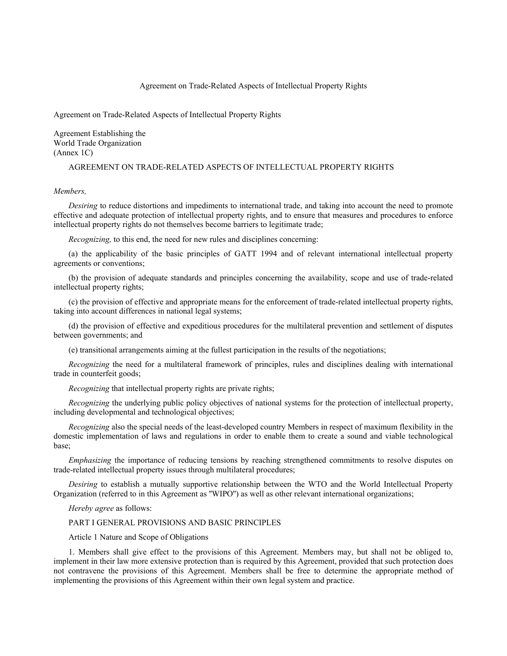# Agreement on Trade-Related Aspects of Intellectual Property Rights

Agreement on Trade-Related Aspects of Intellectual Property Rights

Agreement Establishing the World Trade Organization (Annex 1C)

## AGREEMENT ON TRADE-RELATED ASPECTS OF INTELLECTUAL PROPERTY RIGHTS

# *Members,*

*Desiring* to reduce distortions and impediments to international trade, and taking into account the need to promote effective and adequate protection of intellectual property rights, and to ensure that measures and procedures to enforce intellectual property rights do not themselves become barriers to legitimate trade;

*Recognizing,* to this end, the need for new rules and disciplines concerning:

(a) the applicability of the basic principles of GATT 1994 and of relevant international intellectual property agreements or conventions;

(b) the provision of adequate standards and principles concerning the availability, scope and use of trade-related intellectual property rights;

(c) the provision of effective and appropriate means for the enforcement of trade-related intellectual property rights, taking into account differences in national legal systems;

(d) the provision of effective and expeditious procedures for the multilateral prevention and settlement of disputes between governments; and

(e) transitional arrangements aiming at the fullest participation in the results of the negotiations;

*Recognizing* the need for a multilateral framework of principles, rules and disciplines dealing with international trade in counterfeit goods;

*Recognizing* that intellectual property rights are private rights;

*Recognizing* the underlying public policy objectives of national systems for the protection of intellectual property, including developmental and technological objectives;

*Recognizing* also the special needs of the least-developed country Members in respect of maximum flexibility in the domestic implementation of laws and regulations in order to enable them to create a sound and viable technological base;

*Emphasizing* the importance of reducing tensions by reaching strengthened commitments to resolve disputes on trade-related intellectual property issues through multilateral procedures;

*Desiring* to establish a mutually supportive relationship between the WTO and the World Intellectual Property Organization (referred to in this Agreement as ''WIPO'') as well as other relevant international organizations;

*Hereby agree* as follows:

## PART I GENERAL PROVISIONS AND BASIC PRINCIPLES

Article 1 Nature and Scope of Obligations

1. Members shall give effect to the provisions of this Agreement. Members may, but shall not be obliged to, implement in their law more extensive protection than is required by this Agreement, provided that such protection does not contravene the provisions of this Agreement. Members shall be free to determine the appropriate method of implementing the provisions of this Agreement within their own legal system and practice.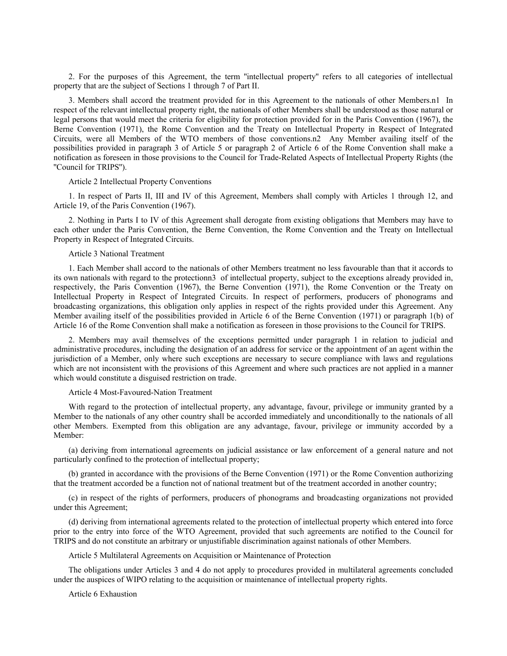2. For the purposes of this Agreement, the term ''intellectual property'' refers to all categories of intellectual property that are the subject of Sections 1 through 7 of Part II.

3. Members shall accord the treatment provided for in this Agreement to the nationals of other Members.n1 In respect of the relevant intellectual property right, the nationals of other Members shall be understood as those natural or legal persons that would meet the criteria for eligibility for protection provided for in the Paris Convention (1967), the Berne Convention (1971), the Rome Convention and the Treaty on Intellectual Property in Respect of Integrated Circuits, were all Members of the WTO members of those conventions.n2 Any Member availing itself of the possibilities provided in paragraph 3 of Article 5 or paragraph 2 of Article 6 of the Rome Convention shall make a notification as foreseen in those provisions to the Council for Trade-Related Aspects of Intellectual Property Rights (the ''Council for TRIPS'').

## Article 2 Intellectual Property Conventions

1. In respect of Parts II, III and IV of this Agreement, Members shall comply with Articles 1 through 12, and Article 19, of the Paris Convention (1967).

2. Nothing in Parts I to IV of this Agreement shall derogate from existing obligations that Members may have to each other under the Paris Convention, the Berne Convention, the Rome Convention and the Treaty on Intellectual Property in Respect of Integrated Circuits.

#### Article 3 National Treatment

1. Each Member shall accord to the nationals of other Members treatment no less favourable than that it accords to its own nationals with regard to the protectionn3 of intellectual property, subject to the exceptions already provided in, respectively, the Paris Convention (1967), the Berne Convention (1971), the Rome Convention or the Treaty on Intellectual Property in Respect of Integrated Circuits. In respect of performers, producers of phonograms and broadcasting organizations, this obligation only applies in respect of the rights provided under this Agreement. Any Member availing itself of the possibilities provided in Article 6 of the Berne Convention (1971) or paragraph 1(b) of Article 16 of the Rome Convention shall make a notification as foreseen in those provisions to the Council for TRIPS.

2. Members may avail themselves of the exceptions permitted under paragraph 1 in relation to judicial and administrative procedures, including the designation of an address for service or the appointment of an agent within the jurisdiction of a Member, only where such exceptions are necessary to secure compliance with laws and regulations which are not inconsistent with the provisions of this Agreement and where such practices are not applied in a manner which would constitute a disguised restriction on trade.

## Article 4 Most-Favoured-Nation Treatment

With regard to the protection of intellectual property, any advantage, favour, privilege or immunity granted by a Member to the nationals of any other country shall be accorded immediately and unconditionally to the nationals of all other Members. Exempted from this obligation are any advantage, favour, privilege or immunity accorded by a Member:

(a) deriving from international agreements on judicial assistance or law enforcement of a general nature and not particularly confined to the protection of intellectual property;

(b) granted in accordance with the provisions of the Berne Convention (1971) or the Rome Convention authorizing that the treatment accorded be a function not of national treatment but of the treatment accorded in another country;

(c) in respect of the rights of performers, producers of phonograms and broadcasting organizations not provided under this Agreement;

(d) deriving from international agreements related to the protection of intellectual property which entered into force prior to the entry into force of the WTO Agreement, provided that such agreements are notified to the Council for TRIPS and do not constitute an arbitrary or unjustifiable discrimination against nationals of other Members.

Article 5 Multilateral Agreements on Acquisition or Maintenance of Protection

The obligations under Articles 3 and 4 do not apply to procedures provided in multilateral agreements concluded under the auspices of WIPO relating to the acquisition or maintenance of intellectual property rights.

Article 6 Exhaustion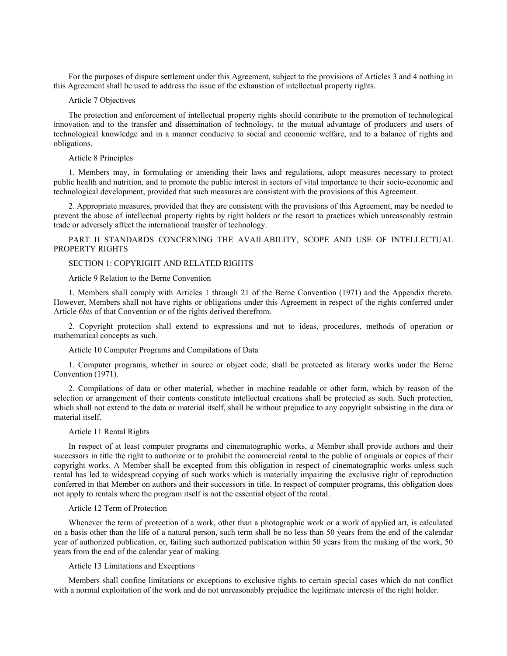For the purposes of dispute settlement under this Agreement, subject to the provisions of Articles 3 and 4 nothing in this Agreement shall be used to address the issue of the exhaustion of intellectual property rights.

# Article 7 Objectives

The protection and enforcement of intellectual property rights should contribute to the promotion of technological innovation and to the transfer and dissemination of technology, to the mutual advantage of producers and users of technological knowledge and in a manner conducive to social and economic welfare, and to a balance of rights and obligations.

#### Article 8 Principles

1. Members may, in formulating or amending their laws and regulations, adopt measures necessary to protect public health and nutrition, and to promote the public interest in sectors of vital importance to their socio-economic and technological development, provided that such measures are consistent with the provisions of this Agreement.

2. Appropriate measures, provided that they are consistent with the provisions of this Agreement, may be needed to prevent the abuse of intellectual property rights by right holders or the resort to practices which unreasonably restrain trade or adversely affect the international transfer of technology.

# PART II STANDARDS CONCERNING THE AVAILABILITY, SCOPE AND USE OF INTELLECTUAL PROPERTY RIGHTS

## SECTION 1: COPYRIGHT AND RELATED RIGHTS

## Article 9 Relation to the Berne Convention

1. Members shall comply with Articles 1 through 21 of the Berne Convention (1971) and the Appendix thereto. However, Members shall not have rights or obligations under this Agreement in respect of the rights conferred under Article 6*bis* of that Convention or of the rights derived therefrom.

2. Copyright protection shall extend to expressions and not to ideas, procedures, methods of operation or mathematical concepts as such.

Article 10 Computer Programs and Compilations of Data

1. Computer programs, whether in source or object code, shall be protected as literary works under the Berne Convention (1971).

2. Compilations of data or other material, whether in machine readable or other form, which by reason of the selection or arrangement of their contents constitute intellectual creations shall be protected as such. Such protection, which shall not extend to the data or material itself, shall be without prejudice to any copyright subsisting in the data or material itself.

## Article 11 Rental Rights

In respect of at least computer programs and cinematographic works, a Member shall provide authors and their successors in title the right to authorize or to prohibit the commercial rental to the public of originals or copies of their copyright works. A Member shall be excepted from this obligation in respect of cinematographic works unless such rental has led to widespread copying of such works which is materially impairing the exclusive right of reproduction conferred in that Member on authors and their successors in title. In respect of computer programs, this obligation does not apply to rentals where the program itself is not the essential object of the rental.

### Article 12 Term of Protection

Whenever the term of protection of a work, other than a photographic work or a work of applied art, is calculated on a basis other than the life of a natural person, such term shall be no less than 50 years from the end of the calendar year of authorized publication, or, failing such authorized publication within 50 years from the making of the work, 50 years from the end of the calendar year of making.

## Article 13 Limitations and Exceptions

Members shall confine limitations or exceptions to exclusive rights to certain special cases which do not conflict with a normal exploitation of the work and do not unreasonably prejudice the legitimate interests of the right holder.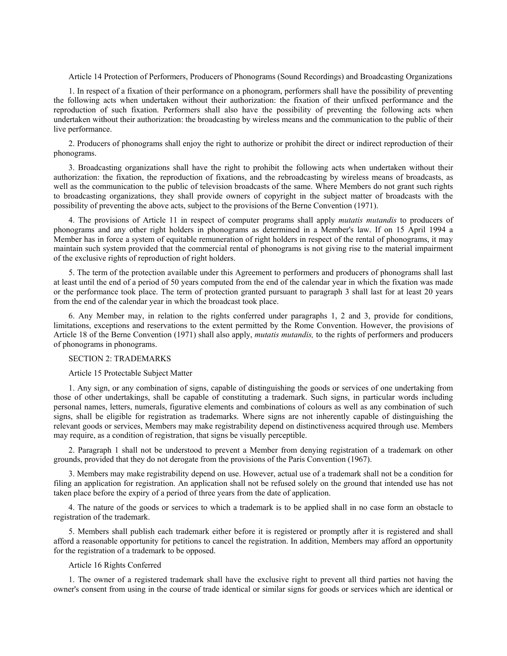Article 14 Protection of Performers, Producers of Phonograms (Sound Recordings) and Broadcasting Organizations

1. In respect of a fixation of their performance on a phonogram, performers shall have the possibility of preventing the following acts when undertaken without their authorization: the fixation of their unfixed performance and the reproduction of such fixation. Performers shall also have the possibility of preventing the following acts when undertaken without their authorization: the broadcasting by wireless means and the communication to the public of their live performance.

2. Producers of phonograms shall enjoy the right to authorize or prohibit the direct or indirect reproduction of their phonograms.

3. Broadcasting organizations shall have the right to prohibit the following acts when undertaken without their authorization: the fixation, the reproduction of fixations, and the rebroadcasting by wireless means of broadcasts, as well as the communication to the public of television broadcasts of the same. Where Members do not grant such rights to broadcasting organizations, they shall provide owners of copyright in the subject matter of broadcasts with the possibility of preventing the above acts, subject to the provisions of the Berne Convention (1971).

4. The provisions of Article 11 in respect of computer programs shall apply *mutatis mutandis* to producers of phonograms and any other right holders in phonograms as determined in a Member's law. If on 15 April 1994 a Member has in force a system of equitable remuneration of right holders in respect of the rental of phonograms, it may maintain such system provided that the commercial rental of phonograms is not giving rise to the material impairment of the exclusive rights of reproduction of right holders.

5. The term of the protection available under this Agreement to performers and producers of phonograms shall last at least until the end of a period of 50 years computed from the end of the calendar year in which the fixation was made or the performance took place. The term of protection granted pursuant to paragraph 3 shall last for at least 20 years from the end of the calendar year in which the broadcast took place.

6. Any Member may, in relation to the rights conferred under paragraphs 1, 2 and 3, provide for conditions, limitations, exceptions and reservations to the extent permitted by the Rome Convention. However, the provisions of Article 18 of the Berne Convention (1971) shall also apply, *mutatis mutandis,* to the rights of performers and producers of phonograms in phonograms.

### SECTION 2: TRADEMARKS

#### Article 15 Protectable Subject Matter

1. Any sign, or any combination of signs, capable of distinguishing the goods or services of one undertaking from those of other undertakings, shall be capable of constituting a trademark. Such signs, in particular words including personal names, letters, numerals, figurative elements and combinations of colours as well as any combination of such signs, shall be eligible for registration as trademarks. Where signs are not inherently capable of distinguishing the relevant goods or services, Members may make registrability depend on distinctiveness acquired through use. Members may require, as a condition of registration, that signs be visually perceptible.

2. Paragraph 1 shall not be understood to prevent a Member from denying registration of a trademark on other grounds, provided that they do not derogate from the provisions of the Paris Convention (1967).

3. Members may make registrability depend on use. However, actual use of a trademark shall not be a condition for filing an application for registration. An application shall not be refused solely on the ground that intended use has not taken place before the expiry of a period of three years from the date of application.

4. The nature of the goods or services to which a trademark is to be applied shall in no case form an obstacle to registration of the trademark.

5. Members shall publish each trademark either before it is registered or promptly after it is registered and shall afford a reasonable opportunity for petitions to cancel the registration. In addition, Members may afford an opportunity for the registration of a trademark to be opposed.

# Article 16 Rights Conferred

1. The owner of a registered trademark shall have the exclusive right to prevent all third parties not having the owner's consent from using in the course of trade identical or similar signs for goods or services which are identical or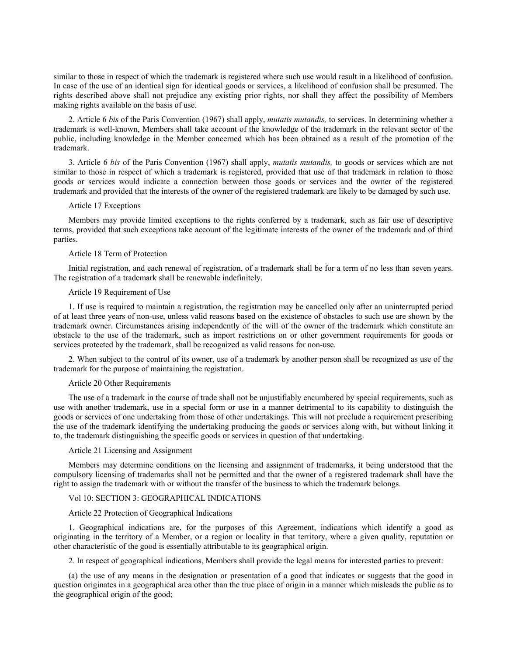similar to those in respect of which the trademark is registered where such use would result in a likelihood of confusion. In case of the use of an identical sign for identical goods or services, a likelihood of confusion shall be presumed. The rights described above shall not prejudice any existing prior rights, nor shall they affect the possibility of Members making rights available on the basis of use.

2. Article 6 *bis* of the Paris Convention (1967) shall apply, *mutatis mutandis,* to services. In determining whether a trademark is well-known, Members shall take account of the knowledge of the trademark in the relevant sector of the public, including knowledge in the Member concerned which has been obtained as a result of the promotion of the trademark.

3. Article 6 *bis* of the Paris Convention (1967) shall apply, *mutatis mutandis,* to goods or services which are not similar to those in respect of which a trademark is registered, provided that use of that trademark in relation to those goods or services would indicate a connection between those goods or services and the owner of the registered trademark and provided that the interests of the owner of the registered trademark are likely to be damaged by such use.

#### Article 17 Exceptions

Members may provide limited exceptions to the rights conferred by a trademark, such as fair use of descriptive terms, provided that such exceptions take account of the legitimate interests of the owner of the trademark and of third parties.

#### Article 18 Term of Protection

Initial registration, and each renewal of registration, of a trademark shall be for a term of no less than seven years. The registration of a trademark shall be renewable indefinitely.

### Article 19 Requirement of Use

1. If use is required to maintain a registration, the registration may be cancelled only after an uninterrupted period of at least three years of non-use, unless valid reasons based on the existence of obstacles to such use are shown by the trademark owner. Circumstances arising independently of the will of the owner of the trademark which constitute an obstacle to the use of the trademark, such as import restrictions on or other government requirements for goods or services protected by the trademark, shall be recognized as valid reasons for non-use.

2. When subject to the control of its owner, use of a trademark by another person shall be recognized as use of the trademark for the purpose of maintaining the registration.

# Article 20 Other Requirements

The use of a trademark in the course of trade shall not be unjustifiably encumbered by special requirements, such as use with another trademark, use in a special form or use in a manner detrimental to its capability to distinguish the goods or services of one undertaking from those of other undertakings. This will not preclude a requirement prescribing the use of the trademark identifying the undertaking producing the goods or services along with, but without linking it to, the trademark distinguishing the specific goods or services in question of that undertaking.

# Article 21 Licensing and Assignment

Members may determine conditions on the licensing and assignment of trademarks, it being understood that the compulsory licensing of trademarks shall not be permitted and that the owner of a registered trademark shall have the right to assign the trademark with or without the transfer of the business to which the trademark belongs.

#### Vol 10: SECTION 3: GEOGRAPHICAL INDICATIONS

#### Article 22 Protection of Geographical Indications

1. Geographical indications are, for the purposes of this Agreement, indications which identify a good as originating in the territory of a Member, or a region or locality in that territory, where a given quality, reputation or other characteristic of the good is essentially attributable to its geographical origin.

2. In respect of geographical indications, Members shall provide the legal means for interested parties to prevent:

(a) the use of any means in the designation or presentation of a good that indicates or suggests that the good in question originates in a geographical area other than the true place of origin in a manner which misleads the public as to the geographical origin of the good;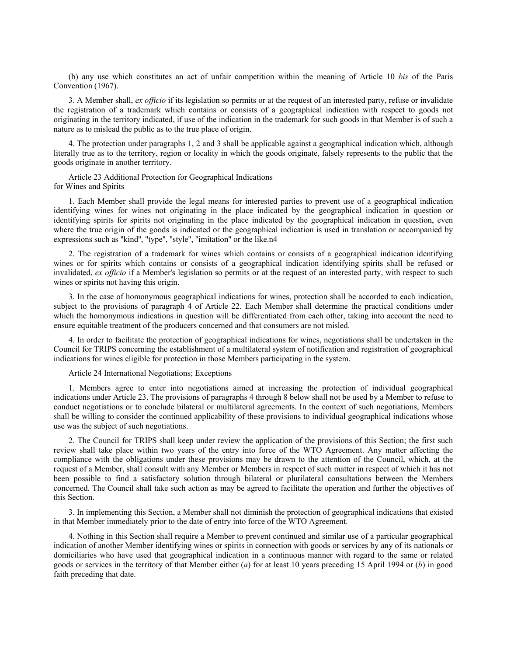(b) any use which constitutes an act of unfair competition within the meaning of Article 10 *bis* of the Paris Convention (1967).

3. A Member shall, *ex officio* if its legislation so permits or at the request of an interested party, refuse or invalidate the registration of a trademark which contains or consists of a geographical indication with respect to goods not originating in the territory indicated, if use of the indication in the trademark for such goods in that Member is of such a nature as to mislead the public as to the true place of origin.

4. The protection under paragraphs 1, 2 and 3 shall be applicable against a geographical indication which, although literally true as to the territory, region or locality in which the goods originate, falsely represents to the public that the goods originate in another territory.

Article 23 Additional Protection for Geographical Indications for Wines and Spirits

1. Each Member shall provide the legal means for interested parties to prevent use of a geographical indication identifying wines for wines not originating in the place indicated by the geographical indication in question or identifying spirits for spirits not originating in the place indicated by the geographical indication in question, even where the true origin of the goods is indicated or the geographical indication is used in translation or accompanied by expressions such as ''kind'', ''type'', ''style'', ''imitation'' or the like.n4

2. The registration of a trademark for wines which contains or consists of a geographical indication identifying wines or for spirits which contains or consists of a geographical indication identifying spirits shall be refused or invalidated, *ex officio* if a Member's legislation so permits or at the request of an interested party, with respect to such wines or spirits not having this origin.

3. In the case of homonymous geographical indications for wines, protection shall be accorded to each indication, subject to the provisions of paragraph 4 of Article 22. Each Member shall determine the practical conditions under which the homonymous indications in question will be differentiated from each other, taking into account the need to ensure equitable treatment of the producers concerned and that consumers are not misled.

4. In order to facilitate the protection of geographical indications for wines, negotiations shall be undertaken in the Council for TRIPS concerning the establishment of a multilateral system of notification and registration of geographical indications for wines eligible for protection in those Members participating in the system.

Article 24 International Negotiations; Exceptions

1. Members agree to enter into negotiations aimed at increasing the protection of individual geographical indications under Article 23. The provisions of paragraphs 4 through 8 below shall not be used by a Member to refuse to conduct negotiations or to conclude bilateral or multilateral agreements. In the context of such negotiations, Members shall be willing to consider the continued applicability of these provisions to individual geographical indications whose use was the subject of such negotiations.

2. The Council for TRIPS shall keep under review the application of the provisions of this Section; the first such review shall take place within two years of the entry into force of the WTO Agreement. Any matter affecting the compliance with the obligations under these provisions may be drawn to the attention of the Council, which, at the request of a Member, shall consult with any Member or Members in respect of such matter in respect of which it has not been possible to find a satisfactory solution through bilateral or plurilateral consultations between the Members concerned. The Council shall take such action as may be agreed to facilitate the operation and further the objectives of this Section.

3. In implementing this Section, a Member shall not diminish the protection of geographical indications that existed in that Member immediately prior to the date of entry into force of the WTO Agreement.

4. Nothing in this Section shall require a Member to prevent continued and similar use of a particular geographical indication of another Member identifying wines or spirits in connection with goods or services by any of its nationals or domiciliaries who have used that geographical indication in a continuous manner with regard to the same or related goods or services in the territory of that Member either (*a*) for at least 10 years preceding 15 April 1994 or (*b*) in good faith preceding that date.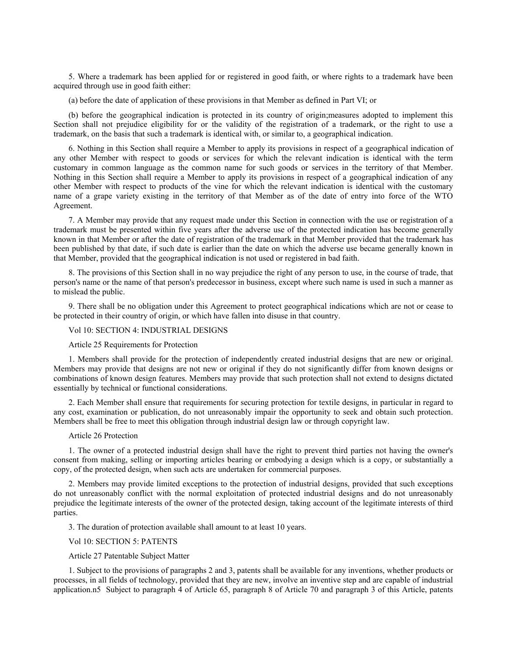5. Where a trademark has been applied for or registered in good faith, or where rights to a trademark have been acquired through use in good faith either:

(a) before the date of application of these provisions in that Member as defined in Part VI; or

(b) before the geographical indication is protected in its country of origin;measures adopted to implement this Section shall not prejudice eligibility for or the validity of the registration of a trademark, or the right to use a trademark, on the basis that such a trademark is identical with, or similar to, a geographical indication.

6. Nothing in this Section shall require a Member to apply its provisions in respect of a geographical indication of any other Member with respect to goods or services for which the relevant indication is identical with the term customary in common language as the common name for such goods or services in the territory of that Member. Nothing in this Section shall require a Member to apply its provisions in respect of a geographical indication of any other Member with respect to products of the vine for which the relevant indication is identical with the customary name of a grape variety existing in the territory of that Member as of the date of entry into force of the WTO Agreement.

7. A Member may provide that any request made under this Section in connection with the use or registration of a trademark must be presented within five years after the adverse use of the protected indication has become generally known in that Member or after the date of registration of the trademark in that Member provided that the trademark has been published by that date, if such date is earlier than the date on which the adverse use became generally known in that Member, provided that the geographical indication is not used or registered in bad faith.

8. The provisions of this Section shall in no way prejudice the right of any person to use, in the course of trade, that person's name or the name of that person's predecessor in business, except where such name is used in such a manner as to mislead the public.

9. There shall be no obligation under this Agreement to protect geographical indications which are not or cease to be protected in their country of origin, or which have fallen into disuse in that country.

# Vol 10: SECTION 4: INDUSTRIAL DESIGNS

Article 25 Requirements for Protection

1. Members shall provide for the protection of independently created industrial designs that are new or original. Members may provide that designs are not new or original if they do not significantly differ from known designs or combinations of known design features. Members may provide that such protection shall not extend to designs dictated essentially by technical or functional considerations.

2. Each Member shall ensure that requirements for securing protection for textile designs, in particular in regard to any cost, examination or publication, do not unreasonably impair the opportunity to seek and obtain such protection. Members shall be free to meet this obligation through industrial design law or through copyright law.

## Article 26 Protection

1. The owner of a protected industrial design shall have the right to prevent third parties not having the owner's consent from making, selling or importing articles bearing or embodying a design which is a copy, or substantially a copy, of the protected design, when such acts are undertaken for commercial purposes.

2. Members may provide limited exceptions to the protection of industrial designs, provided that such exceptions do not unreasonably conflict with the normal exploitation of protected industrial designs and do not unreasonably prejudice the legitimate interests of the owner of the protected design, taking account of the legitimate interests of third parties.

3. The duration of protection available shall amount to at least 10 years.

Vol 10: SECTION 5: PATENTS

## Article 27 Patentable Subject Matter

1. Subject to the provisions of paragraphs 2 and 3, patents shall be available for any inventions, whether products or processes, in all fields of technology, provided that they are new, involve an inventive step and are capable of industrial application.n5 Subject to paragraph 4 of Article 65, paragraph 8 of Article 70 and paragraph 3 of this Article, patents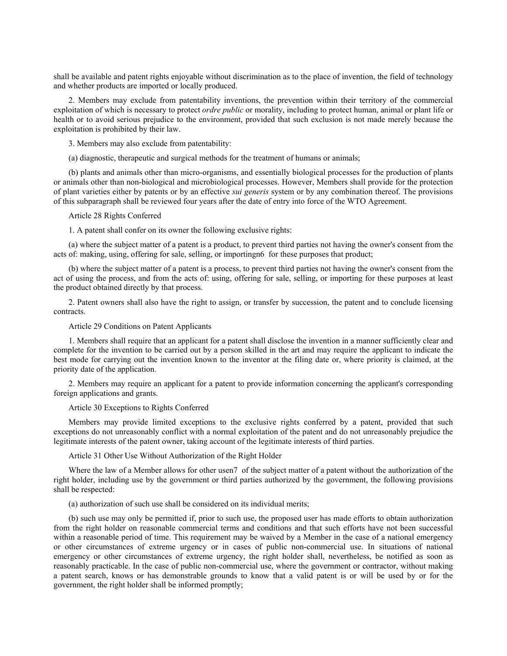shall be available and patent rights enjoyable without discrimination as to the place of invention, the field of technology and whether products are imported or locally produced.

2. Members may exclude from patentability inventions, the prevention within their territory of the commercial exploitation of which is necessary to protect *ordre public* or morality, including to protect human, animal or plant life or health or to avoid serious prejudice to the environment, provided that such exclusion is not made merely because the exploitation is prohibited by their law.

3. Members may also exclude from patentability:

(a) diagnostic, therapeutic and surgical methods for the treatment of humans or animals;

(b) plants and animals other than micro-organisms, and essentially biological processes for the production of plants or animals other than non-biological and microbiological processes. However, Members shall provide for the protection of plant varieties either by patents or by an effective *sui generis* system or by any combination thereof. The provisions of this subparagraph shall be reviewed four years after the date of entry into force of the WTO Agreement.

Article 28 Rights Conferred

1. A patent shall confer on its owner the following exclusive rights:

(a) where the subject matter of a patent is a product, to prevent third parties not having the owner's consent from the acts of: making, using, offering for sale, selling, or importingn6 for these purposes that product;

(b) where the subject matter of a patent is a process, to prevent third parties not having the owner's consent from the act of using the process, and from the acts of: using, offering for sale, selling, or importing for these purposes at least the product obtained directly by that process.

2. Patent owners shall also have the right to assign, or transfer by succession, the patent and to conclude licensing contracts.

Article 29 Conditions on Patent Applicants

1. Members shall require that an applicant for a patent shall disclose the invention in a manner sufficiently clear and complete for the invention to be carried out by a person skilled in the art and may require the applicant to indicate the best mode for carrying out the invention known to the inventor at the filing date or, where priority is claimed, at the priority date of the application.

2. Members may require an applicant for a patent to provide information concerning the applicant's corresponding foreign applications and grants.

Article 30 Exceptions to Rights Conferred

Members may provide limited exceptions to the exclusive rights conferred by a patent, provided that such exceptions do not unreasonably conflict with a normal exploitation of the patent and do not unreasonably prejudice the legitimate interests of the patent owner, taking account of the legitimate interests of third parties.

Article 31 Other Use Without Authorization of the Right Holder

Where the law of a Member allows for other usen7 of the subject matter of a patent without the authorization of the right holder, including use by the government or third parties authorized by the government, the following provisions shall be respected:

(a) authorization of such use shall be considered on its individual merits;

(b) such use may only be permitted if, prior to such use, the proposed user has made efforts to obtain authorization from the right holder on reasonable commercial terms and conditions and that such efforts have not been successful within a reasonable period of time. This requirement may be waived by a Member in the case of a national emergency or other circumstances of extreme urgency or in cases of public non-commercial use. In situations of national emergency or other circumstances of extreme urgency, the right holder shall, nevertheless, be notified as soon as reasonably practicable. In the case of public non-commercial use, where the government or contractor, without making a patent search, knows or has demonstrable grounds to know that a valid patent is or will be used by or for the government, the right holder shall be informed promptly;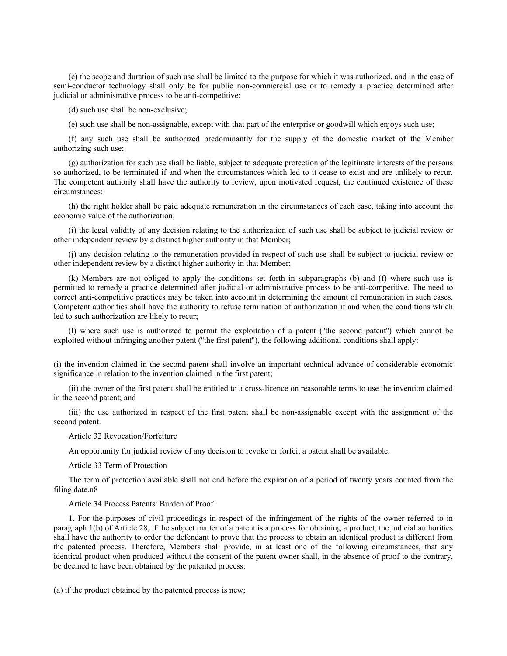(c) the scope and duration of such use shall be limited to the purpose for which it was authorized, and in the case of semi-conductor technology shall only be for public non-commercial use or to remedy a practice determined after judicial or administrative process to be anti-competitive;

(d) such use shall be non-exclusive;

(e) such use shall be non-assignable, except with that part of the enterprise or goodwill which enjoys such use;

(f) any such use shall be authorized predominantly for the supply of the domestic market of the Member authorizing such use;

(g) authorization for such use shall be liable, subject to adequate protection of the legitimate interests of the persons so authorized, to be terminated if and when the circumstances which led to it cease to exist and are unlikely to recur. The competent authority shall have the authority to review, upon motivated request, the continued existence of these circumstances;

(h) the right holder shall be paid adequate remuneration in the circumstances of each case, taking into account the economic value of the authorization;

(i) the legal validity of any decision relating to the authorization of such use shall be subject to judicial review or other independent review by a distinct higher authority in that Member;

(j) any decision relating to the remuneration provided in respect of such use shall be subject to judicial review or other independent review by a distinct higher authority in that Member;

(k) Members are not obliged to apply the conditions set forth in subparagraphs (b) and (f) where such use is permitted to remedy a practice determined after judicial or administrative process to be anti-competitive. The need to correct anti-competitive practices may be taken into account in determining the amount of remuneration in such cases. Competent authorities shall have the authority to refuse termination of authorization if and when the conditions which led to such authorization are likely to recur;

(l) where such use is authorized to permit the exploitation of a patent (''the second patent'') which cannot be exploited without infringing another patent (''the first patent''), the following additional conditions shall apply:

(i) the invention claimed in the second patent shall involve an important technical advance of considerable economic significance in relation to the invention claimed in the first patent;

(ii) the owner of the first patent shall be entitled to a cross-licence on reasonable terms to use the invention claimed in the second patent; and

(iii) the use authorized in respect of the first patent shall be non-assignable except with the assignment of the second patent.

Article 32 Revocation/Forfeiture

An opportunity for judicial review of any decision to revoke or forfeit a patent shall be available.

Article 33 Term of Protection

The term of protection available shall not end before the expiration of a period of twenty years counted from the filing date.n8

Article 34 Process Patents: Burden of Proof

1. For the purposes of civil proceedings in respect of the infringement of the rights of the owner referred to in paragraph 1(b) of Article 28, if the subject matter of a patent is a process for obtaining a product, the judicial authorities shall have the authority to order the defendant to prove that the process to obtain an identical product is different from the patented process. Therefore, Members shall provide, in at least one of the following circumstances, that any identical product when produced without the consent of the patent owner shall, in the absence of proof to the contrary, be deemed to have been obtained by the patented process:

(a) if the product obtained by the patented process is new;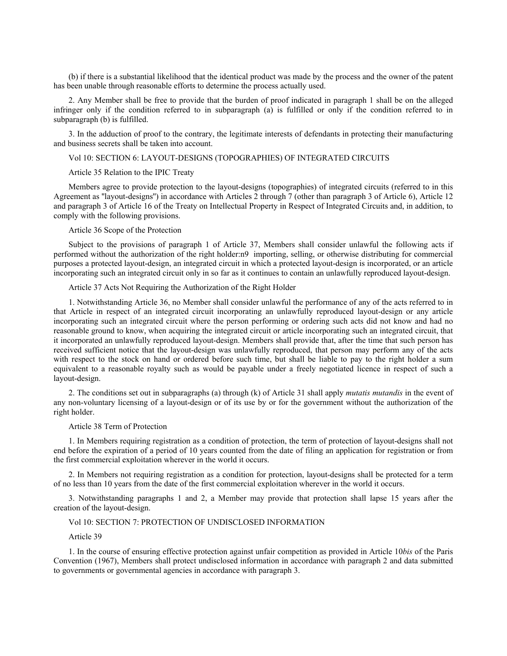(b) if there is a substantial likelihood that the identical product was made by the process and the owner of the patent has been unable through reasonable efforts to determine the process actually used.

2. Any Member shall be free to provide that the burden of proof indicated in paragraph 1 shall be on the alleged infringer only if the condition referred to in subparagraph (a) is fulfilled or only if the condition referred to in subparagraph (b) is fulfilled.

3. In the adduction of proof to the contrary, the legitimate interests of defendants in protecting their manufacturing and business secrets shall be taken into account.

## Vol 10: SECTION 6: LAYOUT-DESIGNS (TOPOGRAPHIES) OF INTEGRATED CIRCUITS

Article 35 Relation to the IPIC Treaty

Members agree to provide protection to the layout-designs (topographies) of integrated circuits (referred to in this Agreement as ''layout-designs'') in accordance with Articles 2 through 7 (other than paragraph 3 of Article 6), Article 12 and paragraph 3 of Article 16 of the Treaty on Intellectual Property in Respect of Integrated Circuits and, in addition, to comply with the following provisions.

Article 36 Scope of the Protection

Subject to the provisions of paragraph 1 of Article 37, Members shall consider unlawful the following acts if performed without the authorization of the right holder:n9 importing, selling, or otherwise distributing for commercial purposes a protected layout-design, an integrated circuit in which a protected layout-design is incorporated, or an article incorporating such an integrated circuit only in so far as it continues to contain an unlawfully reproduced layout-design.

Article 37 Acts Not Requiring the Authorization of the Right Holder

1. Notwithstanding Article 36, no Member shall consider unlawful the performance of any of the acts referred to in that Article in respect of an integrated circuit incorporating an unlawfully reproduced layout-design or any article incorporating such an integrated circuit where the person performing or ordering such acts did not know and had no reasonable ground to know, when acquiring the integrated circuit or article incorporating such an integrated circuit, that it incorporated an unlawfully reproduced layout-design. Members shall provide that, after the time that such person has received sufficient notice that the layout-design was unlawfully reproduced, that person may perform any of the acts with respect to the stock on hand or ordered before such time, but shall be liable to pay to the right holder a sum equivalent to a reasonable royalty such as would be payable under a freely negotiated licence in respect of such a layout-design.

2. The conditions set out in subparagraphs (a) through (k) of Article 31 shall apply *mutatis mutandis* in the event of any non-voluntary licensing of a layout-design or of its use by or for the government without the authorization of the right holder.

### Article 38 Term of Protection

1. In Members requiring registration as a condition of protection, the term of protection of layout-designs shall not end before the expiration of a period of 10 years counted from the date of filing an application for registration or from the first commercial exploitation wherever in the world it occurs.

2. In Members not requiring registration as a condition for protection, layout-designs shall be protected for a term of no less than 10 years from the date of the first commercial exploitation wherever in the world it occurs.

3. Notwithstanding paragraphs 1 and 2, a Member may provide that protection shall lapse 15 years after the creation of the layout-design.

### Vol 10: SECTION 7: PROTECTION OF UNDISCLOSED INFORMATION

Article 39

1. In the course of ensuring effective protection against unfair competition as provided in Article 10*bis* of the Paris Convention (1967), Members shall protect undisclosed information in accordance with paragraph 2 and data submitted to governments or governmental agencies in accordance with paragraph 3.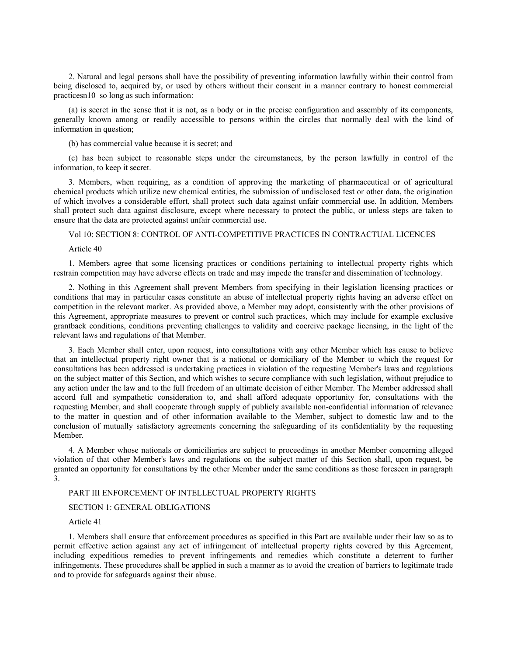2. Natural and legal persons shall have the possibility of preventing information lawfully within their control from being disclosed to, acquired by, or used by others without their consent in a manner contrary to honest commercial practicesn10 so long as such information:

(a) is secret in the sense that it is not, as a body or in the precise configuration and assembly of its components, generally known among or readily accessible to persons within the circles that normally deal with the kind of information in question;

(b) has commercial value because it is secret; and

(c) has been subject to reasonable steps under the circumstances, by the person lawfully in control of the information, to keep it secret.

3. Members, when requiring, as a condition of approving the marketing of pharmaceutical or of agricultural chemical products which utilize new chemical entities, the submission of undisclosed test or other data, the origination of which involves a considerable effort, shall protect such data against unfair commercial use. In addition, Members shall protect such data against disclosure, except where necessary to protect the public, or unless steps are taken to ensure that the data are protected against unfair commercial use.

Vol 10: SECTION 8: CONTROL OF ANTI-COMPETITIVE PRACTICES IN CONTRACTUAL LICENCES

Article 40

1. Members agree that some licensing practices or conditions pertaining to intellectual property rights which restrain competition may have adverse effects on trade and may impede the transfer and dissemination of technology.

2. Nothing in this Agreement shall prevent Members from specifying in their legislation licensing practices or conditions that may in particular cases constitute an abuse of intellectual property rights having an adverse effect on competition in the relevant market. As provided above, a Member may adopt, consistently with the other provisions of this Agreement, appropriate measures to prevent or control such practices, which may include for example exclusive grantback conditions, conditions preventing challenges to validity and coercive package licensing, in the light of the relevant laws and regulations of that Member.

3. Each Member shall enter, upon request, into consultations with any other Member which has cause to believe that an intellectual property right owner that is a national or domiciliary of the Member to which the request for consultations has been addressed is undertaking practices in violation of the requesting Member's laws and regulations on the subject matter of this Section, and which wishes to secure compliance with such legislation, without prejudice to any action under the law and to the full freedom of an ultimate decision of either Member. The Member addressed shall accord full and sympathetic consideration to, and shall afford adequate opportunity for, consultations with the requesting Member, and shall cooperate through supply of publicly available non-confidential information of relevance to the matter in question and of other information available to the Member, subject to domestic law and to the conclusion of mutually satisfactory agreements concerning the safeguarding of its confidentiality by the requesting Member.

4. A Member whose nationals or domiciliaries are subject to proceedings in another Member concerning alleged violation of that other Member's laws and regulations on the subject matter of this Section shall, upon request, be granted an opportunity for consultations by the other Member under the same conditions as those foreseen in paragraph 3.

PART III ENFORCEMENT OF INTELLECTUAL PROPERTY RIGHTS

## SECTION 1: GENERAL OBLIGATIONS

Article 41

1. Members shall ensure that enforcement procedures as specified in this Part are available under their law so as to permit effective action against any act of infringement of intellectual property rights covered by this Agreement, including expeditious remedies to prevent infringements and remedies which constitute a deterrent to further infringements. These procedures shall be applied in such a manner as to avoid the creation of barriers to legitimate trade and to provide for safeguards against their abuse.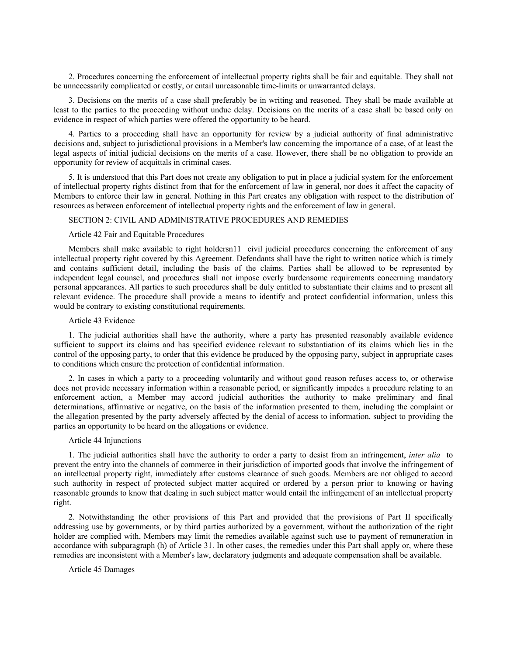2. Procedures concerning the enforcement of intellectual property rights shall be fair and equitable. They shall not be unnecessarily complicated or costly, or entail unreasonable time-limits or unwarranted delays.

3. Decisions on the merits of a case shall preferably be in writing and reasoned. They shall be made available at least to the parties to the proceeding without undue delay. Decisions on the merits of a case shall be based only on evidence in respect of which parties were offered the opportunity to be heard.

4. Parties to a proceeding shall have an opportunity for review by a judicial authority of final administrative decisions and, subject to jurisdictional provisions in a Member's law concerning the importance of a case, of at least the legal aspects of initial judicial decisions on the merits of a case. However, there shall be no obligation to provide an opportunity for review of acquittals in criminal cases.

5. It is understood that this Part does not create any obligation to put in place a judicial system for the enforcement of intellectual property rights distinct from that for the enforcement of law in general, nor does it affect the capacity of Members to enforce their law in general. Nothing in this Part creates any obligation with respect to the distribution of resources as between enforcement of intellectual property rights and the enforcement of law in general.

## SECTION 2: CIVIL AND ADMINISTRATIVE PROCEDURES AND REMEDIES

### Article 42 Fair and Equitable Procedures

Members shall make available to right holdersn11 civil judicial procedures concerning the enforcement of any intellectual property right covered by this Agreement. Defendants shall have the right to written notice which is timely and contains sufficient detail, including the basis of the claims. Parties shall be allowed to be represented by independent legal counsel, and procedures shall not impose overly burdensome requirements concerning mandatory personal appearances. All parties to such procedures shall be duly entitled to substantiate their claims and to present all relevant evidence. The procedure shall provide a means to identify and protect confidential information, unless this would be contrary to existing constitutional requirements.

#### Article 43 Evidence

1. The judicial authorities shall have the authority, where a party has presented reasonably available evidence sufficient to support its claims and has specified evidence relevant to substantiation of its claims which lies in the control of the opposing party, to order that this evidence be produced by the opposing party, subject in appropriate cases to conditions which ensure the protection of confidential information.

2. In cases in which a party to a proceeding voluntarily and without good reason refuses access to, or otherwise does not provide necessary information within a reasonable period, or significantly impedes a procedure relating to an enforcement action, a Member may accord judicial authorities the authority to make preliminary and final determinations, affirmative or negative, on the basis of the information presented to them, including the complaint or the allegation presented by the party adversely affected by the denial of access to information, subject to providing the parties an opportunity to be heard on the allegations or evidence.

### Article 44 Injunctions

1. The judicial authorities shall have the authority to order a party to desist from an infringement, *inter alia* to prevent the entry into the channels of commerce in their jurisdiction of imported goods that involve the infringement of an intellectual property right, immediately after customs clearance of such goods. Members are not obliged to accord such authority in respect of protected subject matter acquired or ordered by a person prior to knowing or having reasonable grounds to know that dealing in such subject matter would entail the infringement of an intellectual property right.

2. Notwithstanding the other provisions of this Part and provided that the provisions of Part II specifically addressing use by governments, or by third parties authorized by a government, without the authorization of the right holder are complied with, Members may limit the remedies available against such use to payment of remuneration in accordance with subparagraph (h) of Article 31. In other cases, the remedies under this Part shall apply or, where these remedies are inconsistent with a Member's law, declaratory judgments and adequate compensation shall be available.

### Article 45 Damages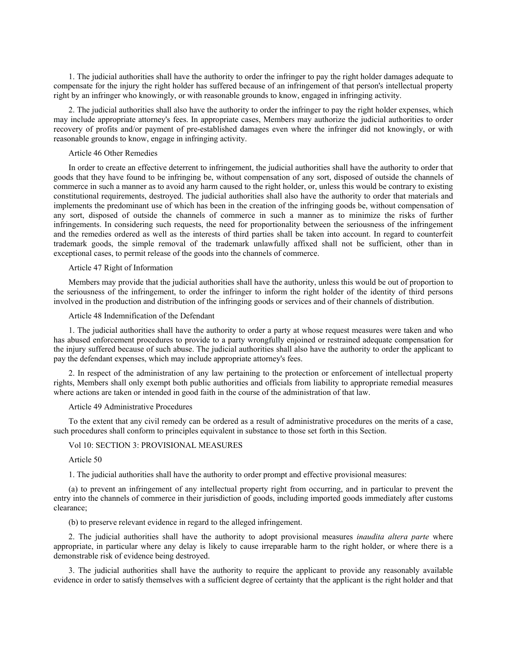1. The judicial authorities shall have the authority to order the infringer to pay the right holder damages adequate to compensate for the injury the right holder has suffered because of an infringement of that person's intellectual property right by an infringer who knowingly, or with reasonable grounds to know, engaged in infringing activity.

2. The judicial authorities shall also have the authority to order the infringer to pay the right holder expenses, which may include appropriate attorney's fees. In appropriate cases, Members may authorize the judicial authorities to order recovery of profits and/or payment of pre-established damages even where the infringer did not knowingly, or with reasonable grounds to know, engage in infringing activity.

### Article 46 Other Remedies

In order to create an effective deterrent to infringement, the judicial authorities shall have the authority to order that goods that they have found to be infringing be, without compensation of any sort, disposed of outside the channels of commerce in such a manner as to avoid any harm caused to the right holder, or, unless this would be contrary to existing constitutional requirements, destroyed. The judicial authorities shall also have the authority to order that materials and implements the predominant use of which has been in the creation of the infringing goods be, without compensation of any sort, disposed of outside the channels of commerce in such a manner as to minimize the risks of further infringements. In considering such requests, the need for proportionality between the seriousness of the infringement and the remedies ordered as well as the interests of third parties shall be taken into account. In regard to counterfeit trademark goods, the simple removal of the trademark unlawfully affixed shall not be sufficient, other than in exceptional cases, to permit release of the goods into the channels of commerce.

### Article 47 Right of Information

Members may provide that the judicial authorities shall have the authority, unless this would be out of proportion to the seriousness of the infringement, to order the infringer to inform the right holder of the identity of third persons involved in the production and distribution of the infringing goods or services and of their channels of distribution.

Article 48 Indemnification of the Defendant

1. The judicial authorities shall have the authority to order a party at whose request measures were taken and who has abused enforcement procedures to provide to a party wrongfully enjoined or restrained adequate compensation for the injury suffered because of such abuse. The judicial authorities shall also have the authority to order the applicant to pay the defendant expenses, which may include appropriate attorney's fees.

2. In respect of the administration of any law pertaining to the protection or enforcement of intellectual property rights, Members shall only exempt both public authorities and officials from liability to appropriate remedial measures where actions are taken or intended in good faith in the course of the administration of that law.

#### Article 49 Administrative Procedures

To the extent that any civil remedy can be ordered as a result of administrative procedures on the merits of a case, such procedures shall conform to principles equivalent in substance to those set forth in this Section.

## Vol 10: SECTION 3: PROVISIONAL MEASURES

Article 50

1. The judicial authorities shall have the authority to order prompt and effective provisional measures:

(a) to prevent an infringement of any intellectual property right from occurring, and in particular to prevent the entry into the channels of commerce in their jurisdiction of goods, including imported goods immediately after customs clearance;

(b) to preserve relevant evidence in regard to the alleged infringement.

2. The judicial authorities shall have the authority to adopt provisional measures *inaudita altera parte* where appropriate, in particular where any delay is likely to cause irreparable harm to the right holder, or where there is a demonstrable risk of evidence being destroyed.

3. The judicial authorities shall have the authority to require the applicant to provide any reasonably available evidence in order to satisfy themselves with a sufficient degree of certainty that the applicant is the right holder and that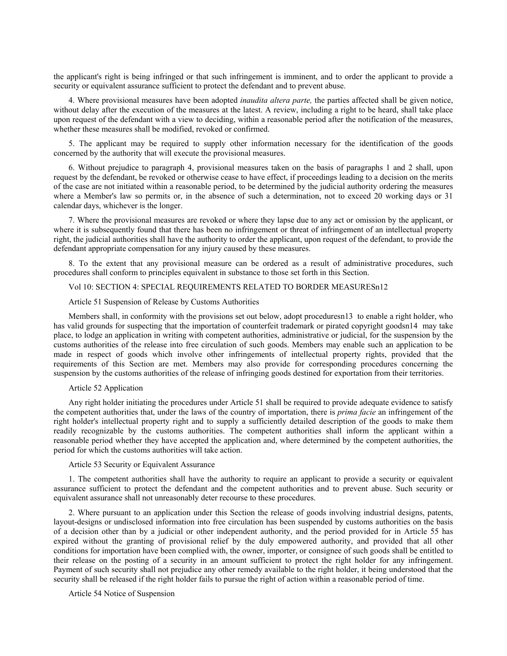the applicant's right is being infringed or that such infringement is imminent, and to order the applicant to provide a security or equivalent assurance sufficient to protect the defendant and to prevent abuse.

4. Where provisional measures have been adopted *inaudita altera parte,* the parties affected shall be given notice, without delay after the execution of the measures at the latest. A review, including a right to be heard, shall take place upon request of the defendant with a view to deciding, within a reasonable period after the notification of the measures, whether these measures shall be modified, revoked or confirmed.

5. The applicant may be required to supply other information necessary for the identification of the goods concerned by the authority that will execute the provisional measures.

6. Without prejudice to paragraph 4, provisional measures taken on the basis of paragraphs 1 and 2 shall, upon request by the defendant, be revoked or otherwise cease to have effect, if proceedings leading to a decision on the merits of the case are not initiated within a reasonable period, to be determined by the judicial authority ordering the measures where a Member's law so permits or, in the absence of such a determination, not to exceed 20 working days or 31 calendar days, whichever is the longer.

7. Where the provisional measures are revoked or where they lapse due to any act or omission by the applicant, or where it is subsequently found that there has been no infringement or threat of infringement of an intellectual property right, the judicial authorities shall have the authority to order the applicant, upon request of the defendant, to provide the defendant appropriate compensation for any injury caused by these measures.

8. To the extent that any provisional measure can be ordered as a result of administrative procedures, such procedures shall conform to principles equivalent in substance to those set forth in this Section.

# Vol 10: SECTION 4: SPECIAL REQUIREMENTS RELATED TO BORDER MEASURESn12

Article 51 Suspension of Release by Customs Authorities

Members shall, in conformity with the provisions set out below, adopt proceduresn13 to enable a right holder, who has valid grounds for suspecting that the importation of counterfeit trademark or pirated copyright goodsn14 may take place, to lodge an application in writing with competent authorities, administrative or judicial, for the suspension by the customs authorities of the release into free circulation of such goods. Members may enable such an application to be made in respect of goods which involve other infringements of intellectual property rights, provided that the requirements of this Section are met. Members may also provide for corresponding procedures concerning the suspension by the customs authorities of the release of infringing goods destined for exportation from their territories.

# Article 52 Application

Any right holder initiating the procedures under Article 51 shall be required to provide adequate evidence to satisfy the competent authorities that, under the laws of the country of importation, there is *prima facie* an infringement of the right holder's intellectual property right and to supply a sufficiently detailed description of the goods to make them readily recognizable by the customs authorities. The competent authorities shall inform the applicant within a reasonable period whether they have accepted the application and, where determined by the competent authorities, the period for which the customs authorities will take action.

# Article 53 Security or Equivalent Assurance

1. The competent authorities shall have the authority to require an applicant to provide a security or equivalent assurance sufficient to protect the defendant and the competent authorities and to prevent abuse. Such security or equivalent assurance shall not unreasonably deter recourse to these procedures.

2. Where pursuant to an application under this Section the release of goods involving industrial designs, patents, layout-designs or undisclosed information into free circulation has been suspended by customs authorities on the basis of a decision other than by a judicial or other independent authority, and the period provided for in Article 55 has expired without the granting of provisional relief by the duly empowered authority, and provided that all other conditions for importation have been complied with, the owner, importer, or consignee of such goods shall be entitled to their release on the posting of a security in an amount sufficient to protect the right holder for any infringement. Payment of such security shall not prejudice any other remedy available to the right holder, it being understood that the security shall be released if the right holder fails to pursue the right of action within a reasonable period of time.

Article 54 Notice of Suspension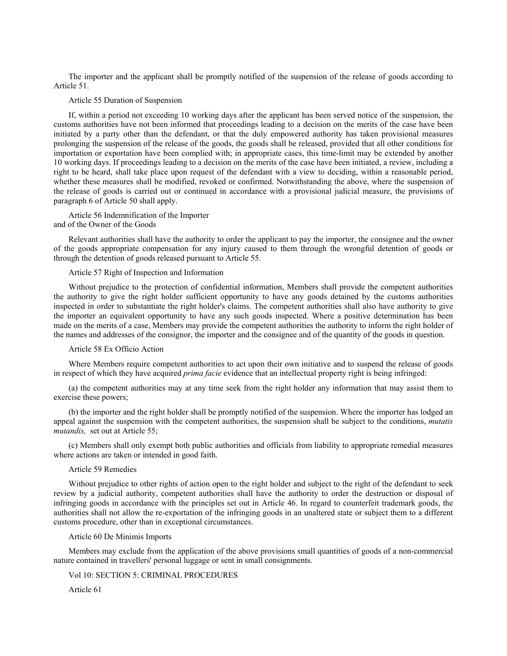The importer and the applicant shall be promptly notified of the suspension of the release of goods according to Article 51.

## Article 55 Duration of Suspension

If, within a period not exceeding 10 working days after the applicant has been served notice of the suspension, the customs authorities have not been informed that proceedings leading to a decision on the merits of the case have been initiated by a party other than the defendant, or that the duly empowered authority has taken provisional measures prolonging the suspension of the release of the goods, the goods shall be released, provided that all other conditions for importation or exportation have been complied with; in appropriate cases, this time-limit may be extended by another 10 working days. If proceedings leading to a decision on the merits of the case have been initiated, a review, including a right to be heard, shall take place upon request of the defendant with a view to deciding, within a reasonable period, whether these measures shall be modified, revoked or confirmed. Notwithstanding the above, where the suspension of the release of goods is carried out or continued in accordance with a provisional judicial measure, the provisions of paragraph 6 of Article 50 shall apply.

Article 56 Indemnification of the Importer and of the Owner of the Goods

Relevant authorities shall have the authority to order the applicant to pay the importer, the consignee and the owner of the goods appropriate compensation for any injury caused to them through the wrongful detention of goods or through the detention of goods released pursuant to Article 55.

# Article 57 Right of Inspection and Information

Without prejudice to the protection of confidential information, Members shall provide the competent authorities the authority to give the right holder sufficient opportunity to have any goods detained by the customs authorities inspected in order to substantiate the right holder's claims. The competent authorities shall also have authority to give the importer an equivalent opportunity to have any such goods inspected. Where a positive determination has been made on the merits of a case, Members may provide the competent authorities the authority to inform the right holder of the names and addresses of the consignor, the importer and the consignee and of the quantity of the goods in question.

## Article 58 Ex Officio Action

Where Members require competent authorities to act upon their own initiative and to suspend the release of goods in respect of which they have acquired *prima facie* evidence that an intellectual property right is being infringed:

(a) the competent authorities may at any time seek from the right holder any information that may assist them to exercise these powers;

(b) the importer and the right holder shall be promptly notified of the suspension. Where the importer has lodged an appeal against the suspension with the competent authorities, the suspension shall be subject to the conditions, *mutatis mutandis,* set out at Article 55;

(c) Members shall only exempt both public authorities and officials from liability to appropriate remedial measures where actions are taken or intended in good faith.

### Article 59 Remedies

Without prejudice to other rights of action open to the right holder and subject to the right of the defendant to seek review by a judicial authority, competent authorities shall have the authority to order the destruction or disposal of infringing goods in accordance with the principles set out in Article 46. In regard to counterfeit trademark goods, the authorities shall not allow the re-exportation of the infringing goods in an unaltered state or subject them to a different customs procedure, other than in exceptional circumstances.

## Article 60 De Minimis Imports

Members may exclude from the application of the above provisions small quantities of goods of a non-commercial nature contained in travellers' personal luggage or sent in small consignments.

#### Vol 10: SECTION 5: CRIMINAL PROCEDURES

Article 61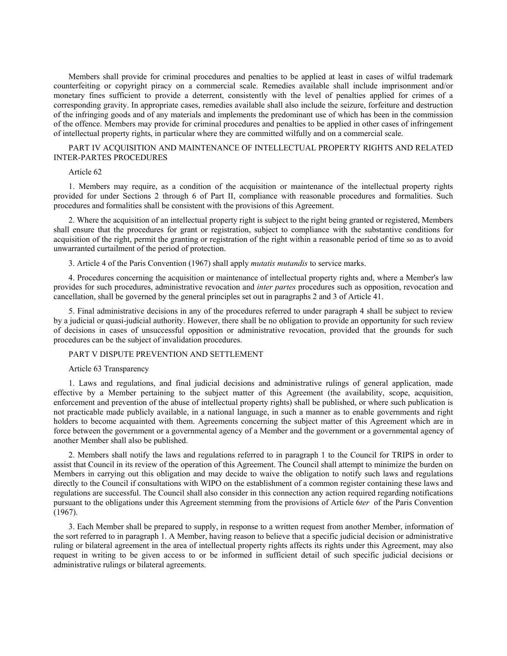Members shall provide for criminal procedures and penalties to be applied at least in cases of wilful trademark counterfeiting or copyright piracy on a commercial scale. Remedies available shall include imprisonment and/or monetary fines sufficient to provide a deterrent, consistently with the level of penalties applied for crimes of a corresponding gravity. In appropriate cases, remedies available shall also include the seizure, forfeiture and destruction of the infringing goods and of any materials and implements the predominant use of which has been in the commission of the offence. Members may provide for criminal procedures and penalties to be applied in other cases of infringement of intellectual property rights, in particular where they are committed wilfully and on a commercial scale.

# PART IV ACQUISITION AND MAINTENANCE OF INTELLECTUAL PROPERTY RIGHTS AND RELATED INTER-PARTES PROCEDURES

### Article 62

1. Members may require, as a condition of the acquisition or maintenance of the intellectual property rights provided for under Sections 2 through 6 of Part II, compliance with reasonable procedures and formalities. Such procedures and formalities shall be consistent with the provisions of this Agreement.

2. Where the acquisition of an intellectual property right is subject to the right being granted or registered, Members shall ensure that the procedures for grant or registration, subject to compliance with the substantive conditions for acquisition of the right, permit the granting or registration of the right within a reasonable period of time so as to avoid unwarranted curtailment of the period of protection.

3. Article 4 of the Paris Convention (1967) shall apply *mutatis mutandis* to service marks.

4. Procedures concerning the acquisition or maintenance of intellectual property rights and, where a Member's law provides for such procedures, administrative revocation and *inter partes* procedures such as opposition, revocation and cancellation, shall be governed by the general principles set out in paragraphs 2 and 3 of Article 41.

5. Final administrative decisions in any of the procedures referred to under paragraph 4 shall be subject to review by a judicial or quasi-judicial authority. However, there shall be no obligation to provide an opportunity for such review of decisions in cases of unsuccessful opposition or administrative revocation, provided that the grounds for such procedures can be the subject of invalidation procedures.

# PART V DISPUTE PREVENTION AND SETTLEMENT

#### Article 63 Transparency

1. Laws and regulations, and final judicial decisions and administrative rulings of general application, made effective by a Member pertaining to the subject matter of this Agreement (the availability, scope, acquisition, enforcement and prevention of the abuse of intellectual property rights) shall be published, or where such publication is not practicable made publicly available, in a national language, in such a manner as to enable governments and right holders to become acquainted with them. Agreements concerning the subject matter of this Agreement which are in force between the government or a governmental agency of a Member and the government or a governmental agency of another Member shall also be published.

2. Members shall notify the laws and regulations referred to in paragraph 1 to the Council for TRIPS in order to assist that Council in its review of the operation of this Agreement. The Council shall attempt to minimize the burden on Members in carrying out this obligation and may decide to waive the obligation to notify such laws and regulations directly to the Council if consultations with WIPO on the establishment of a common register containing these laws and regulations are successful. The Council shall also consider in this connection any action required regarding notifications pursuant to the obligations under this Agreement stemming from the provisions of Article 6*ter* of the Paris Convention (1967).

3. Each Member shall be prepared to supply, in response to a written request from another Member, information of the sort referred to in paragraph 1. A Member, having reason to believe that a specific judicial decision or administrative ruling or bilateral agreement in the area of intellectual property rights affects its rights under this Agreement, may also request in writing to be given access to or be informed in sufficient detail of such specific judicial decisions or administrative rulings or bilateral agreements.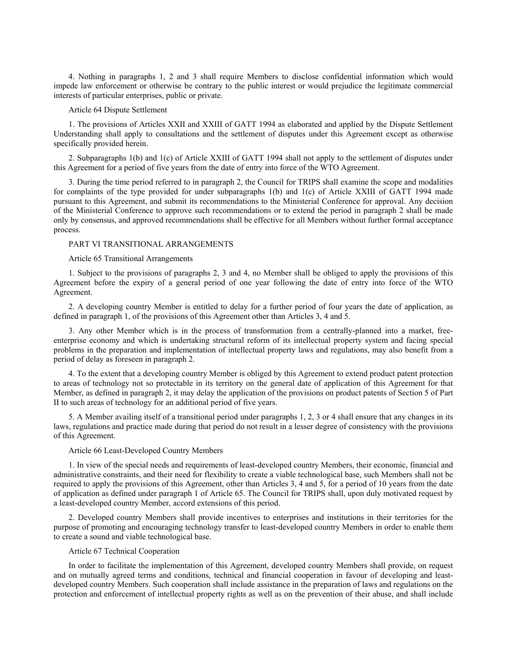4. Nothing in paragraphs 1, 2 and 3 shall require Members to disclose confidential information which would impede law enforcement or otherwise be contrary to the public interest or would prejudice the legitimate commercial interests of particular enterprises, public or private.

# Article 64 Dispute Settlement

1. The provisions of Articles XXII and XXIII of GATT 1994 as elaborated and applied by the Dispute Settlement Understanding shall apply to consultations and the settlement of disputes under this Agreement except as otherwise specifically provided herein.

2. Subparagraphs 1(b) and 1(c) of Article XXIII of GATT 1994 shall not apply to the settlement of disputes under this Agreement for a period of five years from the date of entry into force of the WTO Agreement.

3. During the time period referred to in paragraph 2, the Council for TRIPS shall examine the scope and modalities for complaints of the type provided for under subparagraphs 1(b) and 1(c) of Article XXIII of GATT 1994 made pursuant to this Agreement, and submit its recommendations to the Ministerial Conference for approval. Any decision of the Ministerial Conference to approve such recommendations or to extend the period in paragraph 2 shall be made only by consensus, and approved recommendations shall be effective for all Members without further formal acceptance process.

# PART VI TRANSITIONAL ARRANGEMENTS

# Article 65 Transitional Arrangements

1. Subject to the provisions of paragraphs 2, 3 and 4, no Member shall be obliged to apply the provisions of this Agreement before the expiry of a general period of one year following the date of entry into force of the WTO Agreement.

2. A developing country Member is entitled to delay for a further period of four years the date of application, as defined in paragraph 1, of the provisions of this Agreement other than Articles 3, 4 and 5.

3. Any other Member which is in the process of transformation from a centrally-planned into a market, freeenterprise economy and which is undertaking structural reform of its intellectual property system and facing special problems in the preparation and implementation of intellectual property laws and regulations, may also benefit from a period of delay as foreseen in paragraph 2.

4. To the extent that a developing country Member is obliged by this Agreement to extend product patent protection to areas of technology not so protectable in its territory on the general date of application of this Agreement for that Member, as defined in paragraph 2, it may delay the application of the provisions on product patents of Section 5 of Part II to such areas of technology for an additional period of five years.

5. A Member availing itself of a transitional period under paragraphs 1, 2, 3 or 4 shall ensure that any changes in its laws, regulations and practice made during that period do not result in a lesser degree of consistency with the provisions of this Agreement.

# Article 66 Least-Developed Country Members

1. In view of the special needs and requirements of least-developed country Members, their economic, financial and administrative constraints, and their need for flexibility to create a viable technological base, such Members shall not be required to apply the provisions of this Agreement, other than Articles 3, 4 and 5, for a period of 10 years from the date of application as defined under paragraph 1 of Article 65. The Council for TRIPS shall, upon duly motivated request by a least-developed country Member, accord extensions of this period.

2. Developed country Members shall provide incentives to enterprises and institutions in their territories for the purpose of promoting and encouraging technology transfer to least-developed country Members in order to enable them to create a sound and viable technological base.

## Article 67 Technical Cooperation

In order to facilitate the implementation of this Agreement, developed country Members shall provide, on request and on mutually agreed terms and conditions, technical and financial cooperation in favour of developing and leastdeveloped country Members. Such cooperation shall include assistance in the preparation of laws and regulations on the protection and enforcement of intellectual property rights as well as on the prevention of their abuse, and shall include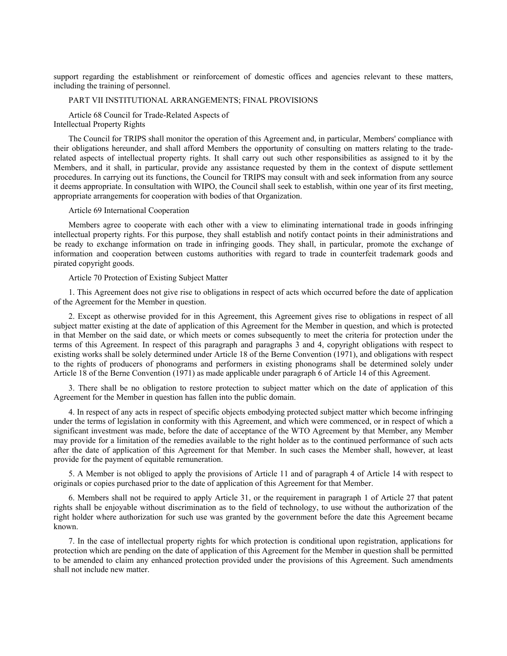support regarding the establishment or reinforcement of domestic offices and agencies relevant to these matters, including the training of personnel.

# PART VII INSTITUTIONAL ARRANGEMENTS; FINAL PROVISIONS

Article 68 Council for Trade-Related Aspects of Intellectual Property Rights

The Council for TRIPS shall monitor the operation of this Agreement and, in particular, Members' compliance with their obligations hereunder, and shall afford Members the opportunity of consulting on matters relating to the traderelated aspects of intellectual property rights. It shall carry out such other responsibilities as assigned to it by the Members, and it shall, in particular, provide any assistance requested by them in the context of dispute settlement procedures. In carrying out its functions, the Council for TRIPS may consult with and seek information from any source it deems appropriate. In consultation with WIPO, the Council shall seek to establish, within one year of its first meeting, appropriate arrangements for cooperation with bodies of that Organization.

## Article 69 International Cooperation

Members agree to cooperate with each other with a view to eliminating international trade in goods infringing intellectual property rights. For this purpose, they shall establish and notify contact points in their administrations and be ready to exchange information on trade in infringing goods. They shall, in particular, promote the exchange of information and cooperation between customs authorities with regard to trade in counterfeit trademark goods and pirated copyright goods.

## Article 70 Protection of Existing Subject Matter

1. This Agreement does not give rise to obligations in respect of acts which occurred before the date of application of the Agreement for the Member in question.

2. Except as otherwise provided for in this Agreement, this Agreement gives rise to obligations in respect of all subject matter existing at the date of application of this Agreement for the Member in question, and which is protected in that Member on the said date, or which meets or comes subsequently to meet the criteria for protection under the terms of this Agreement. In respect of this paragraph and paragraphs 3 and 4, copyright obligations with respect to existing works shall be solely determined under Article 18 of the Berne Convention (1971), and obligations with respect to the rights of producers of phonograms and performers in existing phonograms shall be determined solely under Article 18 of the Berne Convention (1971) as made applicable under paragraph 6 of Article 14 of this Agreement.

3. There shall be no obligation to restore protection to subject matter which on the date of application of this Agreement for the Member in question has fallen into the public domain.

4. In respect of any acts in respect of specific objects embodying protected subject matter which become infringing under the terms of legislation in conformity with this Agreement, and which were commenced, or in respect of which a significant investment was made, before the date of acceptance of the WTO Agreement by that Member, any Member may provide for a limitation of the remedies available to the right holder as to the continued performance of such acts after the date of application of this Agreement for that Member. In such cases the Member shall, however, at least provide for the payment of equitable remuneration.

5. A Member is not obliged to apply the provisions of Article 11 and of paragraph 4 of Article 14 with respect to originals or copies purchased prior to the date of application of this Agreement for that Member.

6. Members shall not be required to apply Article 31, or the requirement in paragraph 1 of Article 27 that patent rights shall be enjoyable without discrimination as to the field of technology, to use without the authorization of the right holder where authorization for such use was granted by the government before the date this Agreement became known.

7. In the case of intellectual property rights for which protection is conditional upon registration, applications for protection which are pending on the date of application of this Agreement for the Member in question shall be permitted to be amended to claim any enhanced protection provided under the provisions of this Agreement. Such amendments shall not include new matter.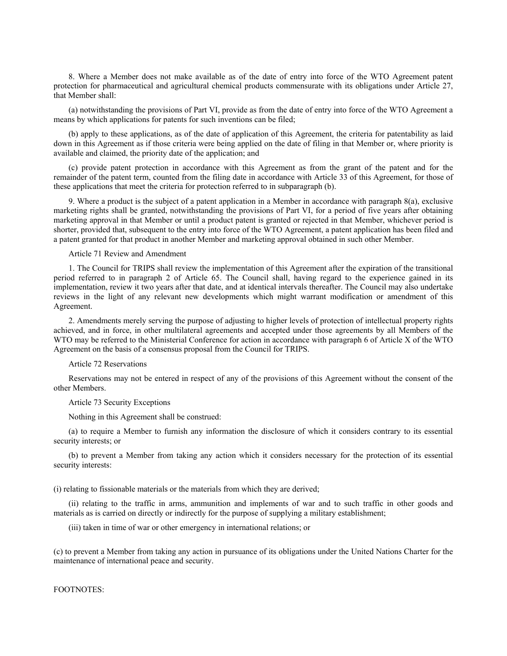8. Where a Member does not make available as of the date of entry into force of the WTO Agreement patent protection for pharmaceutical and agricultural chemical products commensurate with its obligations under Article 27, that Member shall:

(a) notwithstanding the provisions of Part VI, provide as from the date of entry into force of the WTO Agreement a means by which applications for patents for such inventions can be filed;

(b) apply to these applications, as of the date of application of this Agreement, the criteria for patentability as laid down in this Agreement as if those criteria were being applied on the date of filing in that Member or, where priority is available and claimed, the priority date of the application; and

(c) provide patent protection in accordance with this Agreement as from the grant of the patent and for the remainder of the patent term, counted from the filing date in accordance with Article 33 of this Agreement, for those of these applications that meet the criteria for protection referred to in subparagraph (b).

9. Where a product is the subject of a patent application in a Member in accordance with paragraph 8(a), exclusive marketing rights shall be granted, notwithstanding the provisions of Part VI, for a period of five years after obtaining marketing approval in that Member or until a product patent is granted or rejected in that Member, whichever period is shorter, provided that, subsequent to the entry into force of the WTO Agreement, a patent application has been filed and a patent granted for that product in another Member and marketing approval obtained in such other Member.

Article 71 Review and Amendment

1. The Council for TRIPS shall review the implementation of this Agreement after the expiration of the transitional period referred to in paragraph 2 of Article 65. The Council shall, having regard to the experience gained in its implementation, review it two years after that date, and at identical intervals thereafter. The Council may also undertake reviews in the light of any relevant new developments which might warrant modification or amendment of this Agreement.

2. Amendments merely serving the purpose of adjusting to higher levels of protection of intellectual property rights achieved, and in force, in other multilateral agreements and accepted under those agreements by all Members of the WTO may be referred to the Ministerial Conference for action in accordance with paragraph 6 of Article X of the WTO Agreement on the basis of a consensus proposal from the Council for TRIPS.

## Article 72 Reservations

Reservations may not be entered in respect of any of the provisions of this Agreement without the consent of the other Members.

#### Article 73 Security Exceptions

Nothing in this Agreement shall be construed:

(a) to require a Member to furnish any information the disclosure of which it considers contrary to its essential security interests; or

(b) to prevent a Member from taking any action which it considers necessary for the protection of its essential security interests:

(i) relating to fissionable materials or the materials from which they are derived;

(ii) relating to the traffic in arms, ammunition and implements of war and to such traffic in other goods and materials as is carried on directly or indirectly for the purpose of supplying a military establishment;

(iii) taken in time of war or other emergency in international relations; or

(c) to prevent a Member from taking any action in pursuance of its obligations under the United Nations Charter for the maintenance of international peace and security.

FOOTNOTES: